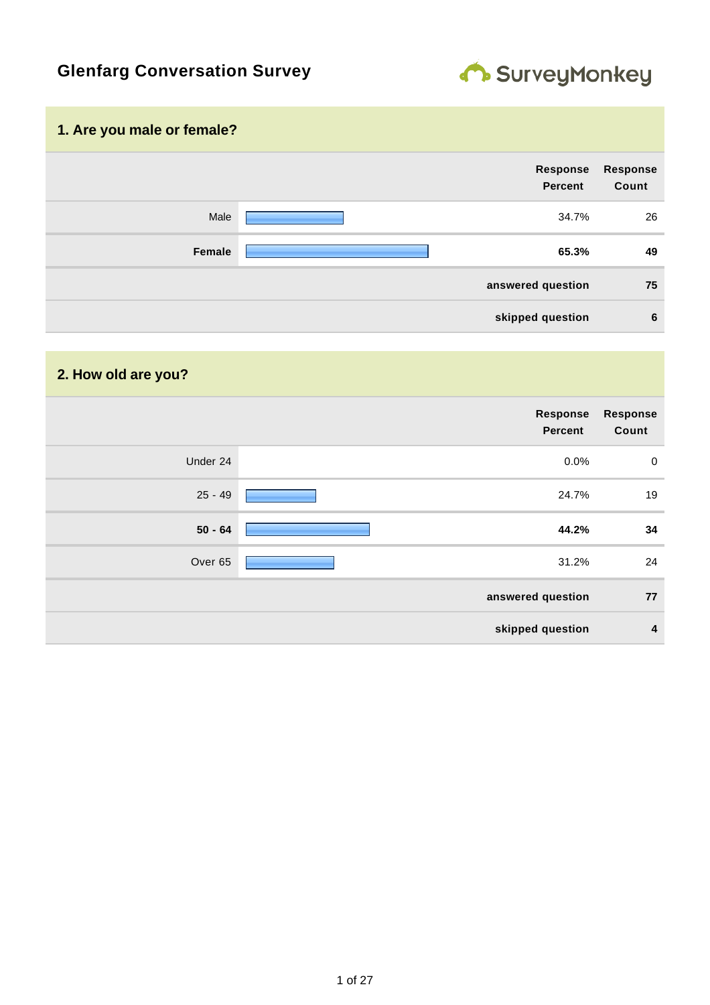

# **Glenfarg Conversation Survey**

### **1. Are you male or female?**

| <b>Response</b><br>Count | Response<br>Percent |        |
|--------------------------|---------------------|--------|
| 26                       | 34.7%               | Male   |
| 49                       | 65.3%               | Female |
| 75                       | answered question   |        |
| 6                        | skipped question    |        |

| 2. How old are you? |                            |                          |
|---------------------|----------------------------|--------------------------|
|                     | Response<br><b>Percent</b> | <b>Response</b><br>Count |
| Under 24            | 0.0%                       | $\mathbf 0$              |
| $25 - 49$           | 24.7%                      | 19                       |
| $50 - 64$           | 44.2%                      | 34                       |
| Over 65             | 31.2%                      | 24                       |
|                     | answered question          | 77                       |
|                     | skipped question           | $\boldsymbol{4}$         |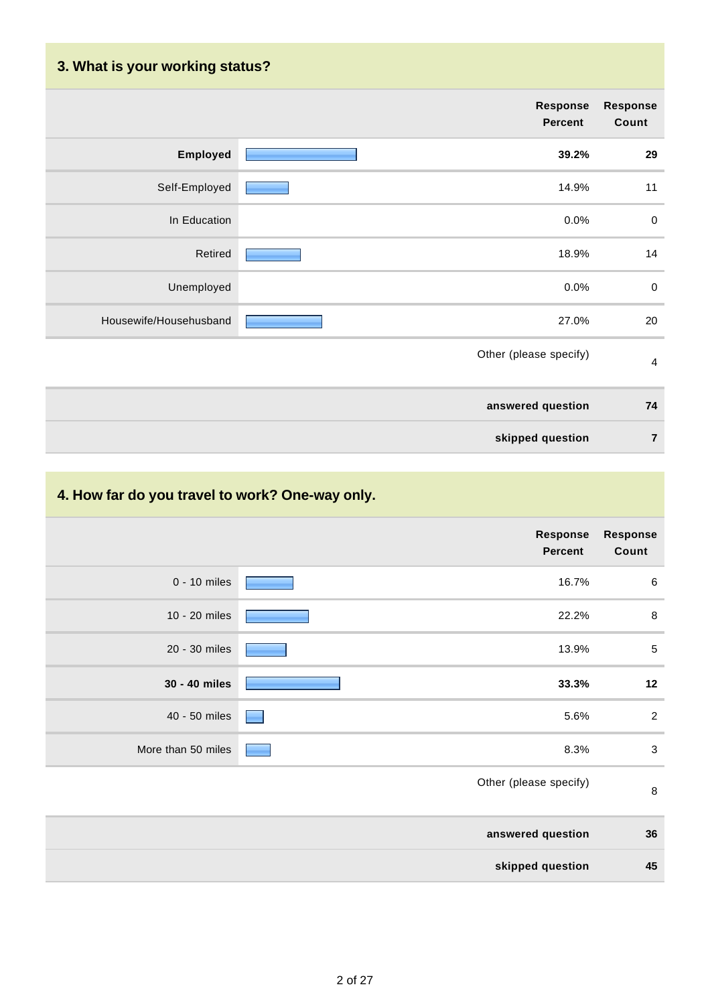| 3. What is your working status? |                            |                          |
|---------------------------------|----------------------------|--------------------------|
|                                 | Response<br><b>Percent</b> | <b>Response</b><br>Count |
| <b>Employed</b>                 | 39.2%                      | 29                       |
| Self-Employed                   | 14.9%                      | 11                       |
| In Education                    | 0.0%                       | $\pmb{0}$                |
| Retired                         | 18.9%                      | 14                       |
| Unemployed                      | 0.0%                       | $\boldsymbol{0}$         |
| Housewife/Househusband          | 27.0%                      | 20                       |
|                                 | Other (please specify)     | $\overline{4}$           |
|                                 | answered question          | 74                       |
|                                 | skipped question           | $\overline{7}$           |

## **4. How far do you travel to work? One-way only.**

| <b>Response</b><br>Count | <b>Response</b><br><b>Percent</b> |                    |
|--------------------------|-----------------------------------|--------------------|
| $\,6$                    | 16.7%                             | $0 - 10$ miles     |
| $\,8\,$                  | 22.2%                             | 10 - 20 miles      |
| $\sqrt{5}$               | 13.9%                             | 20 - 30 miles      |
| 12                       | 33.3%                             | 30 - 40 miles      |
| $\overline{2}$           | 5.6%                              | 40 - 50 miles      |
| $\mathbf{3}$             | 8.3%                              | More than 50 miles |
| $\,8\,$                  | Other (please specify)            |                    |
| 36                       | answered question                 |                    |
| 45                       | skipped question                  |                    |
|                          |                                   |                    |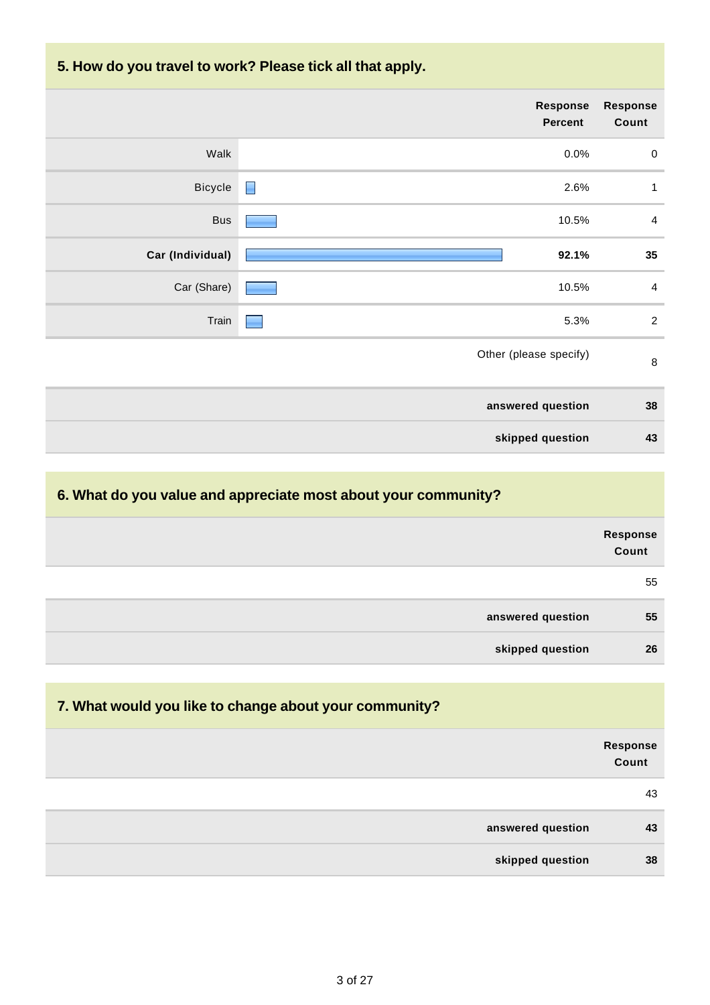### **5. How do you travel to work? Please tick all that apply.**

| Response<br>Count | <b>Response</b><br><b>Percent</b> |                  |
|-------------------|-----------------------------------|------------------|
| $\boldsymbol{0}$  | 0.0%                              | Walk             |
| 1                 | $\blacksquare$<br>2.6%            | Bicycle          |
| $\overline{4}$    | 10.5%                             | Bus              |
| 35                | 92.1%                             | Car (Individual) |
| $\overline{4}$    | 10.5%                             | Car (Share)      |
| $\overline{2}$    | 5.3%                              | Train            |
| $\, 8$            | Other (please specify)            |                  |
| 38                | answered question                 |                  |
| 43                | skipped question                  |                  |

### **6. What do you value and appreciate most about your community?**

|                   | Response<br>Count |
|-------------------|-------------------|
|                   | 55                |
| answered question | 55                |
| skipped question  | 26                |

| 7. What would you like to change about your community? |                          |
|--------------------------------------------------------|--------------------------|
|                                                        | <b>Response</b><br>Count |
|                                                        | 43                       |
| answered question                                      | 43                       |
| skipped question                                       | 38                       |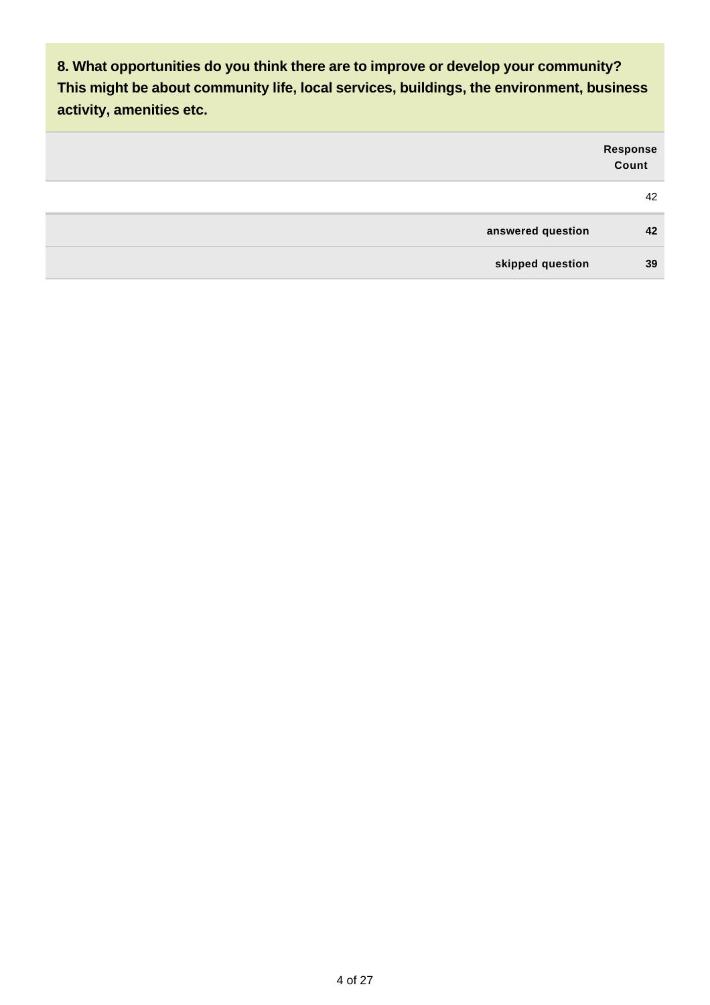**8. What opportunities do you think there are to improve or develop your community? This might be about community life, local services, buildings, the environment, business activity, amenities etc.**

| Response<br>Count |                   |
|-------------------|-------------------|
| 42                |                   |
| 42                | answered question |
| 39                | skipped question  |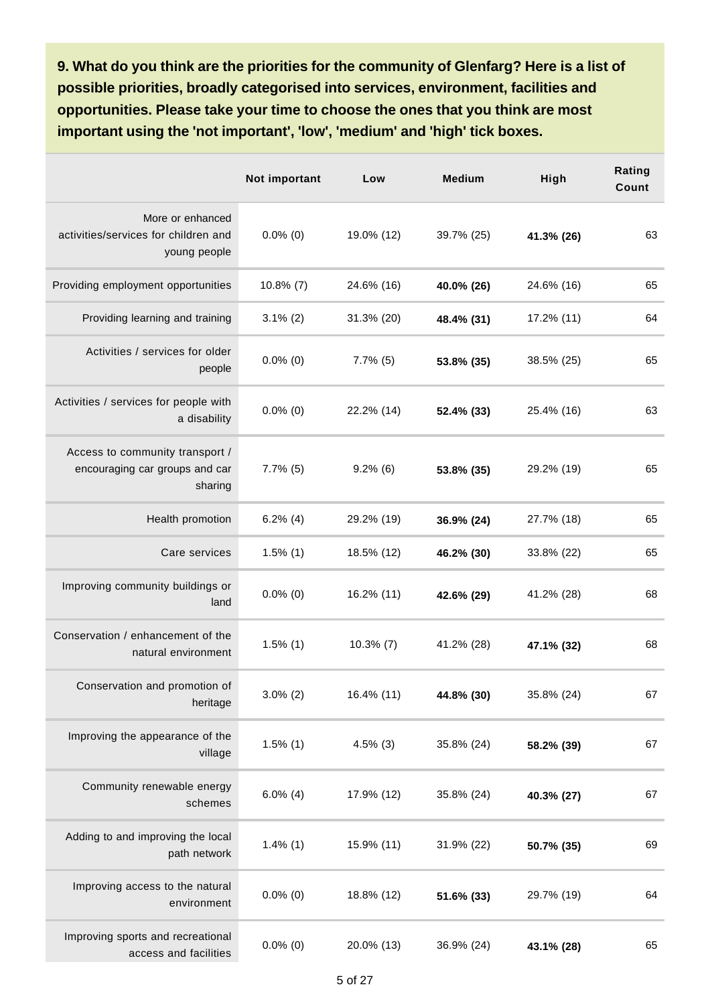**9. What do you think are the priorities for the community of Glenfarg? Here is a list of possible priorities, broadly categorised into services, environment, facilities and opportunities. Please take your time to choose the ones that you think are most important using the 'not important', 'low', 'medium' and 'high' tick boxes.**

|                                                                              | Not important | Low          | <b>Medium</b> | High       | Rating<br>Count |
|------------------------------------------------------------------------------|---------------|--------------|---------------|------------|-----------------|
| More or enhanced<br>activities/services for children and<br>young people     | $0.0\%$ (0)   | 19.0% (12)   | 39.7% (25)    | 41.3% (26) | 63              |
| Providing employment opportunities                                           | $10.8\%$ (7)  | 24.6% (16)   | 40.0% (26)    | 24.6% (16) | 65              |
| Providing learning and training                                              | $3.1\%$ (2)   | 31.3% (20)   | 48.4% (31)    | 17.2% (11) | 64              |
| Activities / services for older<br>people                                    | $0.0\%$ (0)   | $7.7\%$ (5)  | 53.8% (35)    | 38.5% (25) | 65              |
| Activities / services for people with<br>a disability                        | $0.0\%$ (0)   | 22.2% (14)   | 52.4% (33)    | 25.4% (16) | 63              |
| Access to community transport /<br>encouraging car groups and car<br>sharing | $7.7\%$ (5)   | $9.2\%$ (6)  | 53.8% (35)    | 29.2% (19) | 65              |
| Health promotion                                                             | $6.2\%$ (4)   | 29.2% (19)   | 36.9% (24)    | 27.7% (18) | 65              |
| Care services                                                                | $1.5\%$ (1)   | 18.5% (12)   | 46.2% (30)    | 33.8% (22) | 65              |
| Improving community buildings or<br>land                                     | $0.0\%$ (0)   | 16.2% (11)   | 42.6% (29)    | 41.2% (28) | 68              |
| Conservation / enhancement of the<br>natural environment                     | $1.5\%$ (1)   | $10.3\%$ (7) | 41.2% (28)    | 47.1% (32) | 68              |
| Conservation and promotion of<br>heritage                                    | $3.0\%$ (2)   | 16.4% (11)   | 44.8% (30)    | 35.8% (24) | 67              |
| Improving the appearance of the<br>village                                   | $1.5\%$ (1)   | $4.5\%$ (3)  | 35.8% (24)    | 58.2% (39) | 67              |
| Community renewable energy<br>schemes                                        | $6.0\%$ (4)   | 17.9% (12)   | 35.8% (24)    | 40.3% (27) | 67              |
| Adding to and improving the local<br>path network                            | $1.4\%$ (1)   | 15.9% (11)   | 31.9% (22)    | 50.7% (35) | 69              |
| Improving access to the natural<br>environment                               | $0.0\%$ (0)   | 18.8% (12)   | 51.6% (33)    | 29.7% (19) | 64              |
| Improving sports and recreational<br>access and facilities                   | $0.0\%$ (0)   | 20.0% (13)   | 36.9% (24)    | 43.1% (28) | 65              |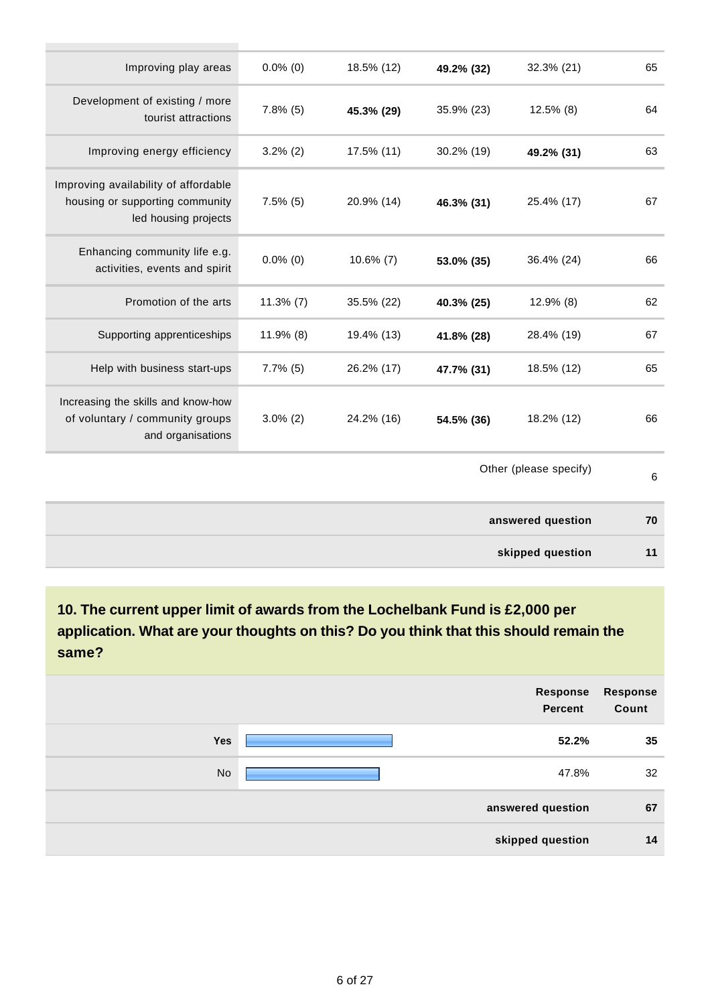| 65 | 32.3% (21)             | 49.2% (32) | 18.5% (12)   | $0.0\%$ (0)  | Improving play areas                                                                            |
|----|------------------------|------------|--------------|--------------|-------------------------------------------------------------------------------------------------|
| 64 | $12.5\%$ (8)           | 35.9% (23) | 45.3% (29)   | $7.8\%$ (5)  | Development of existing / more<br>tourist attractions                                           |
| 63 | 49.2% (31)             | 30.2% (19) | 17.5% (11)   | $3.2\%$ (2)  | Improving energy efficiency                                                                     |
| 67 | 25.4% (17)             | 46.3% (31) | 20.9% (14)   | $7.5\%$ (5)  | Improving availability of affordable<br>housing or supporting community<br>led housing projects |
| 66 | 36.4% (24)             | 53.0% (35) | $10.6\%$ (7) | $0.0\%$ (0)  | Enhancing community life e.g.<br>activities, events and spirit                                  |
| 62 | $12.9\%$ (8)           | 40.3% (25) | 35.5% (22)   | $11.3\%$ (7) | Promotion of the arts                                                                           |
| 67 | 28.4% (19)             | 41.8% (28) | 19.4% (13)   | $11.9\%$ (8) | Supporting apprenticeships                                                                      |
| 65 | 18.5% (12)             | 47.7% (31) | 26.2% (17)   | $7.7\%$ (5)  | Help with business start-ups                                                                    |
| 66 | 18.2% (12)             | 54.5% (36) | 24.2% (16)   | $3.0\%$ (2)  | Increasing the skills and know-how<br>of voluntary / community groups<br>and organisations      |
| 6  | Other (please specify) |            |              |              |                                                                                                 |
| 70 | answered question      |            |              |              |                                                                                                 |
| 11 | skipped question       |            |              |              |                                                                                                 |
|    |                        |            |              |              |                                                                                                 |

**10. The current upper limit of awards from the Lochelbank Fund is £2,000 per application. What are your thoughts on this? Do you think that this should remain the same?**

| <b>Response</b><br>Count | Response<br>Percent |     |
|--------------------------|---------------------|-----|
| 35                       | 52.2%               | Yes |
| 32                       | 47.8%               | No  |
| 67                       | answered question   |     |
| 14                       | skipped question    |     |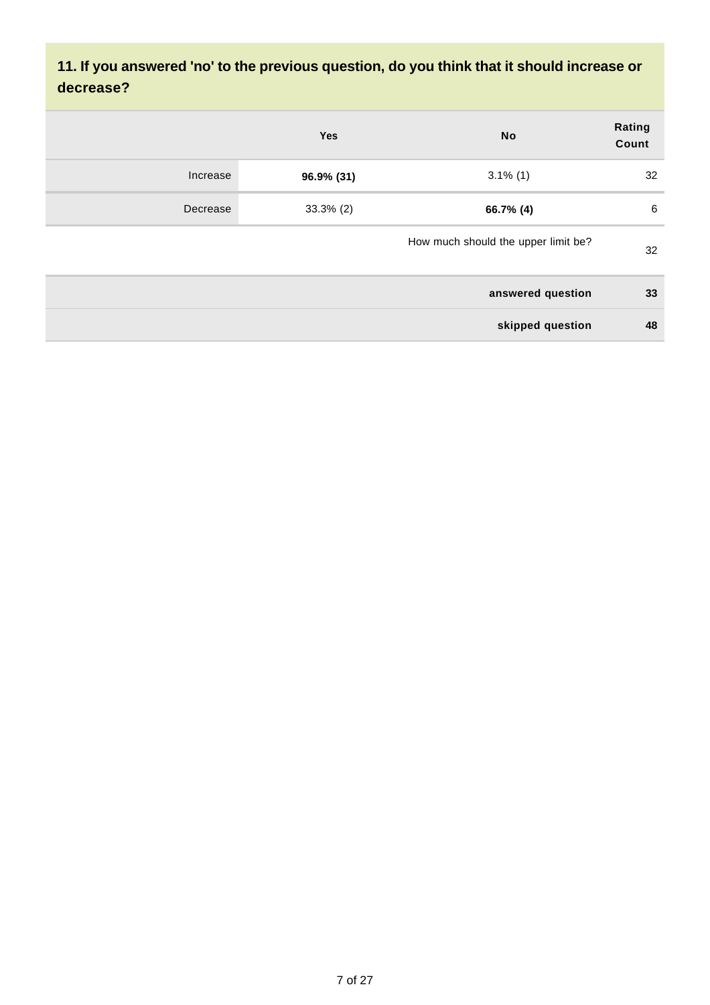### **11. If you answered 'no' to the previous question, do you think that it should increase or decrease?**

|          | <b>Yes</b>   | <b>No</b>                           | Rating<br>Count |
|----------|--------------|-------------------------------------|-----------------|
| Increase | 96.9% (31)   | $3.1\%$ (1)                         | 32              |
| Decrease | $33.3\%$ (2) | 66.7% (4)                           | 6               |
|          |              | How much should the upper limit be? | 32              |
|          |              | answered question                   | 33              |
|          |              | skipped question                    | 48              |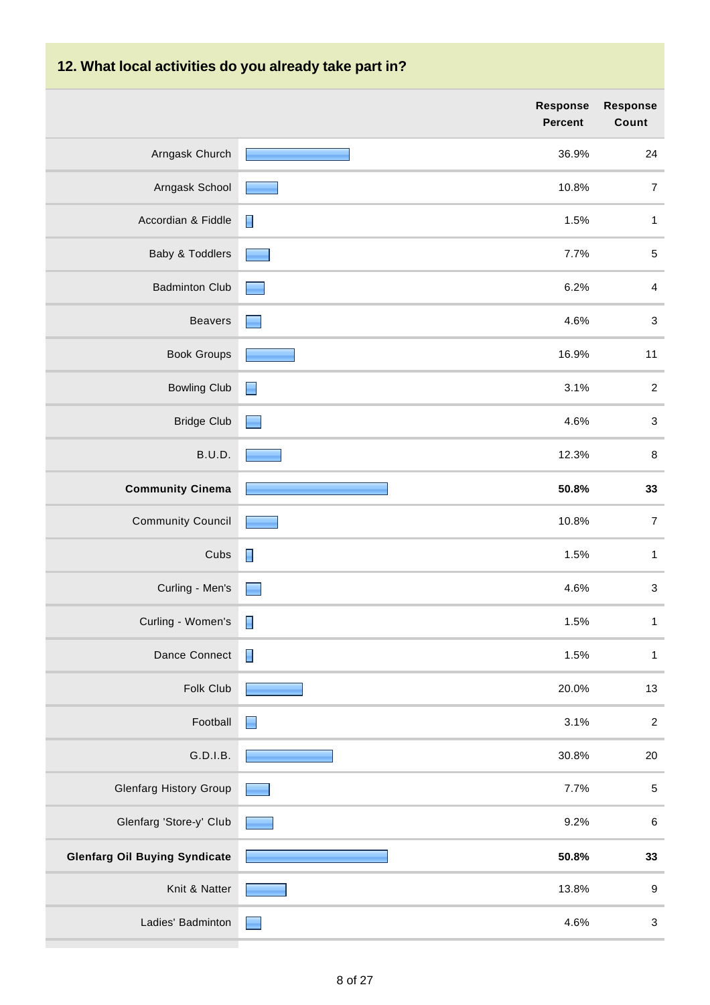| 12. What local activities do you already take part in? |                            |                           |  |  |
|--------------------------------------------------------|----------------------------|---------------------------|--|--|
|                                                        | <b>Response</b><br>Percent | Response<br>Count         |  |  |
| Arngask Church                                         | 36.9%                      | 24                        |  |  |
| Arngask School                                         | 10.8%                      | $\overline{7}$            |  |  |
| Accordian & Fiddle                                     | 1.5%                       | $\mathbf{1}$              |  |  |
| Baby & Toddlers                                        | 7.7%                       | $\sqrt{5}$                |  |  |
| <b>Badminton Club</b>                                  | 6.2%                       | $\overline{4}$            |  |  |
| <b>Beavers</b>                                         | 4.6%                       | $\ensuremath{\mathsf{3}}$ |  |  |
| <b>Book Groups</b>                                     | 16.9%                      | 11                        |  |  |
| <b>Bowling Club</b>                                    | 3.1%<br>Е                  | $\sqrt{2}$                |  |  |
| <b>Bridge Club</b>                                     | 4.6%<br>۰                  | $\sqrt{3}$                |  |  |
| B.U.D.                                                 | 12.3%                      | $\,8\,$                   |  |  |
| <b>Community Cinema</b>                                | 50.8%                      | 33                        |  |  |
| <b>Community Council</b>                               | 10.8%                      | $\overline{7}$            |  |  |
| Cubs                                                   | 1.5%                       | $\mathbf{1}$              |  |  |
| Curling - Men's                                        | 4.6%                       | 3                         |  |  |
| Curling - Women's                                      | $\blacksquare$<br>1.5%     | $\mathbf{1}$              |  |  |
| Dance Connect                                          | Π<br>1.5%                  | $\mathbf{1}$              |  |  |
| Folk Club                                              | 20.0%                      | 13                        |  |  |
| Football                                               | 3.1%<br>E                  | $\boldsymbol{2}$          |  |  |
| G.D.I.B.                                               | 30.8%                      | 20                        |  |  |
| <b>Glenfarg History Group</b>                          | 7.7%                       | $\sqrt{5}$                |  |  |
| Glenfarg 'Store-y' Club                                | 9.2%                       | $\,6\,$                   |  |  |
| <b>Glenfarg Oil Buying Syndicate</b>                   | 50.8%                      | 33                        |  |  |
| Knit & Natter                                          | 13.8%                      | $\boldsymbol{9}$          |  |  |
| Ladies' Badminton                                      | 4.6%                       | $\sqrt{3}$                |  |  |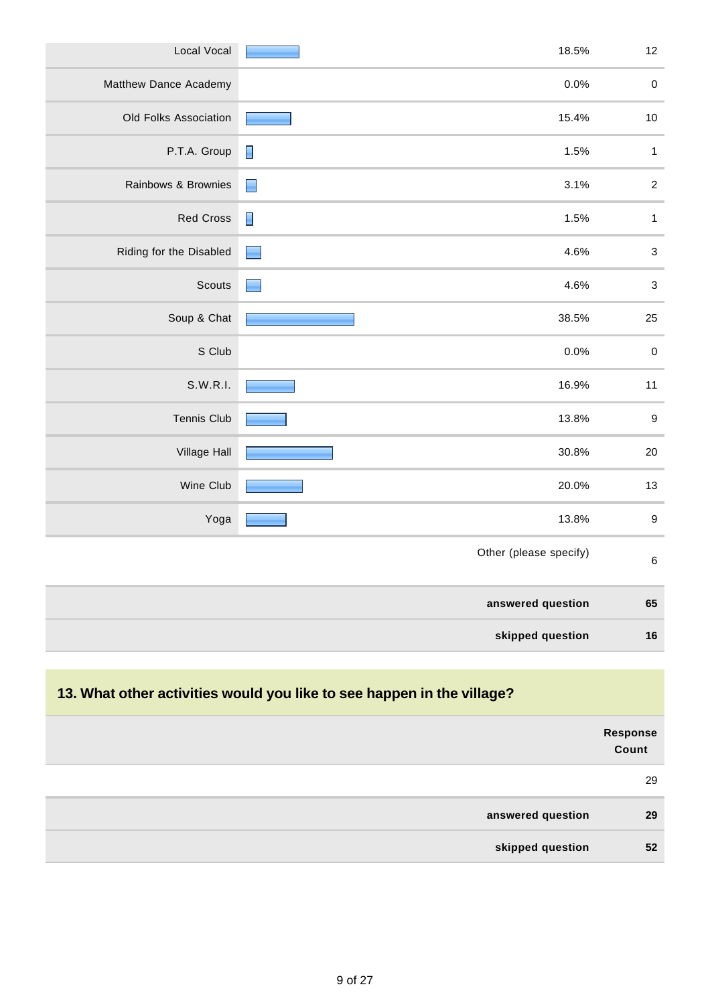| Local Vocal             | 18.5%                                                                                                                                                                                                                                  | 12               |
|-------------------------|----------------------------------------------------------------------------------------------------------------------------------------------------------------------------------------------------------------------------------------|------------------|
| Matthew Dance Academy   | 0.0%                                                                                                                                                                                                                                   | $\pmb{0}$        |
| Old Folks Association   | 15.4%                                                                                                                                                                                                                                  | $10$             |
| P.T.A. Group            | 1.5%<br>$\blacksquare$                                                                                                                                                                                                                 | $\mathbf{1}$     |
| Rainbows & Brownies     | 3.1%<br>$\Box$                                                                                                                                                                                                                         | $\boldsymbol{2}$ |
| <b>Red Cross</b>        | 1.5%<br>$\blacksquare$                                                                                                                                                                                                                 | $\mathbf{1}$     |
| Riding for the Disabled | 4.6%<br>$\blacksquare$                                                                                                                                                                                                                 | $\mathbf{3}$     |
| Scouts                  | 4.6%<br>and the contract of the contract of the contract of the contract of the contract of the contract of the contract of the contract of the contract of the contract of the contract of the contract of the contract of the contra | $\mathbf{3}$     |
| Soup & Chat             | 38.5%                                                                                                                                                                                                                                  | 25               |
| S Club                  | 0.0%                                                                                                                                                                                                                                   | $\pmb{0}$        |
| S.W.R.I.                | 16.9%                                                                                                                                                                                                                                  | 11               |
| Tennis Club             | 13.8%                                                                                                                                                                                                                                  | $\boldsymbol{9}$ |
| Village Hall            | 30.8%                                                                                                                                                                                                                                  | 20               |
| Wine Club               | 20.0%                                                                                                                                                                                                                                  | 13               |
| Yoga                    | 13.8%                                                                                                                                                                                                                                  | $\boldsymbol{9}$ |
|                         | Other (please specify)                                                                                                                                                                                                                 | $\,6\,$          |
|                         | answered question                                                                                                                                                                                                                      | 65               |
|                         | skipped question                                                                                                                                                                                                                       | 16               |

# **13. What other activities would you like to see happen in the village? Response Count** 29 **answered question 29 skipped question 52**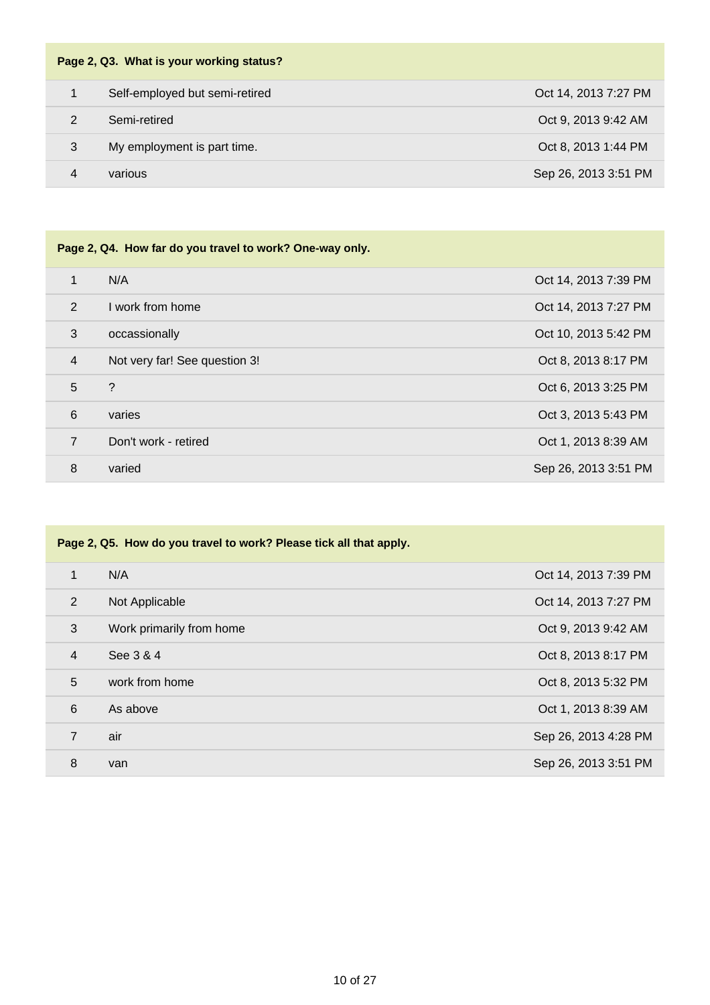| Page 2, Q3. What is your working status? |                                |                      |
|------------------------------------------|--------------------------------|----------------------|
|                                          | Self-employed but semi-retired | Oct 14, 2013 7:27 PM |
| 2                                        | Semi-retired                   | Oct 9, 2013 9:42 AM  |
| 3                                        | My employment is part time.    | Oct 8, 2013 1:44 PM  |
| 4                                        | various                        | Sep 26, 2013 3:51 PM |

| Page 2, Q4. How far do you travel to work? One-way only. |                               |                      |  |
|----------------------------------------------------------|-------------------------------|----------------------|--|
| 1                                                        | N/A                           | Oct 14, 2013 7:39 PM |  |
| 2                                                        | I work from home              | Oct 14, 2013 7:27 PM |  |
| 3                                                        | occassionally                 | Oct 10, 2013 5:42 PM |  |
| $\overline{4}$                                           | Not very far! See question 3! | Oct 8, 2013 8:17 PM  |  |
| 5                                                        | ?                             | Oct 6, 2013 3:25 PM  |  |
| 6                                                        | varies                        | Oct 3, 2013 5:43 PM  |  |
| 7                                                        | Don't work - retired          | Oct 1, 2013 8:39 AM  |  |
| 8                                                        | varied                        | Sep 26, 2013 3:51 PM |  |

| Page 2, Q5. How do you travel to work? Please tick all that apply. |                          |                      |
|--------------------------------------------------------------------|--------------------------|----------------------|
| $\mathbf{1}$                                                       | N/A                      | Oct 14, 2013 7:39 PM |
| 2                                                                  | Not Applicable           | Oct 14, 2013 7:27 PM |
| 3                                                                  | Work primarily from home | Oct 9, 2013 9:42 AM  |
| $\overline{4}$                                                     | See 3 & 4                | Oct 8, 2013 8:17 PM  |
| 5                                                                  | work from home           | Oct 8, 2013 5:32 PM  |
| 6                                                                  | As above                 | Oct 1, 2013 8:39 AM  |
| $\overline{7}$                                                     | air                      | Sep 26, 2013 4:28 PM |
| 8                                                                  | van                      | Sep 26, 2013 3:51 PM |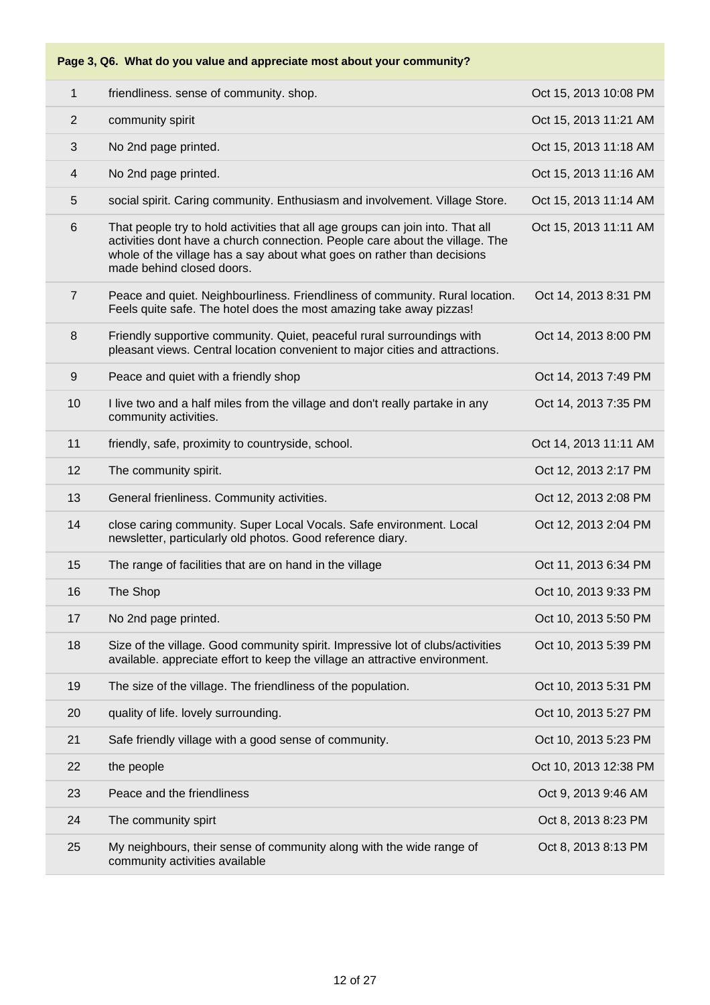#### **Page 3, Q6. What do you value and appreciate most about your community?**

| 1              | friendliness. sense of community. shop.                                                                                                                                                                                                                                | Oct 15, 2013 10:08 PM |
|----------------|------------------------------------------------------------------------------------------------------------------------------------------------------------------------------------------------------------------------------------------------------------------------|-----------------------|
| 2              | community spirit                                                                                                                                                                                                                                                       | Oct 15, 2013 11:21 AM |
| 3              | No 2nd page printed.                                                                                                                                                                                                                                                   | Oct 15, 2013 11:18 AM |
| 4              | No 2nd page printed.                                                                                                                                                                                                                                                   | Oct 15, 2013 11:16 AM |
| 5              | social spirit. Caring community. Enthusiasm and involvement. Village Store.                                                                                                                                                                                            | Oct 15, 2013 11:14 AM |
| $6\,$          | That people try to hold activities that all age groups can join into. That all<br>activities dont have a church connection. People care about the village. The<br>whole of the village has a say about what goes on rather than decisions<br>made behind closed doors. | Oct 15, 2013 11:11 AM |
| $\overline{7}$ | Peace and quiet. Neighbourliness. Friendliness of community. Rural location.<br>Feels quite safe. The hotel does the most amazing take away pizzas!                                                                                                                    | Oct 14, 2013 8:31 PM  |
| 8              | Friendly supportive community. Quiet, peaceful rural surroundings with<br>pleasant views. Central location convenient to major cities and attractions.                                                                                                                 | Oct 14, 2013 8:00 PM  |
| 9              | Peace and quiet with a friendly shop                                                                                                                                                                                                                                   | Oct 14, 2013 7:49 PM  |
| 10             | I live two and a half miles from the village and don't really partake in any<br>community activities.                                                                                                                                                                  | Oct 14, 2013 7:35 PM  |
| 11             | friendly, safe, proximity to countryside, school.                                                                                                                                                                                                                      | Oct 14, 2013 11:11 AM |
| 12             | The community spirit.                                                                                                                                                                                                                                                  | Oct 12, 2013 2:17 PM  |
| 13             | General frienliness. Community activities.                                                                                                                                                                                                                             | Oct 12, 2013 2:08 PM  |
| 14             | close caring community. Super Local Vocals. Safe environment. Local<br>newsletter, particularly old photos. Good reference diary.                                                                                                                                      | Oct 12, 2013 2:04 PM  |
| 15             | The range of facilities that are on hand in the village                                                                                                                                                                                                                | Oct 11, 2013 6:34 PM  |
| 16             | The Shop                                                                                                                                                                                                                                                               | Oct 10, 2013 9:33 PM  |
| 17             | No 2nd page printed.                                                                                                                                                                                                                                                   | Oct 10, 2013 5:50 PM  |
| 18             | Size of the village. Good community spirit. Impressive lot of clubs/activities<br>available. appreciate effort to keep the village an attractive environment.                                                                                                          | Oct 10, 2013 5:39 PM  |
| 19             | The size of the village. The friendliness of the population.                                                                                                                                                                                                           | Oct 10, 2013 5:31 PM  |
| 20             | quality of life. lovely surrounding.                                                                                                                                                                                                                                   | Oct 10, 2013 5:27 PM  |
| 21             | Safe friendly village with a good sense of community.                                                                                                                                                                                                                  | Oct 10, 2013 5:23 PM  |
| 22             | the people                                                                                                                                                                                                                                                             | Oct 10, 2013 12:38 PM |
| 23             | Peace and the friendliness                                                                                                                                                                                                                                             | Oct 9, 2013 9:46 AM   |
| 24             | The community spirt                                                                                                                                                                                                                                                    | Oct 8, 2013 8:23 PM   |
| 25             | My neighbours, their sense of community along with the wide range of<br>community activities available                                                                                                                                                                 | Oct 8, 2013 8:13 PM   |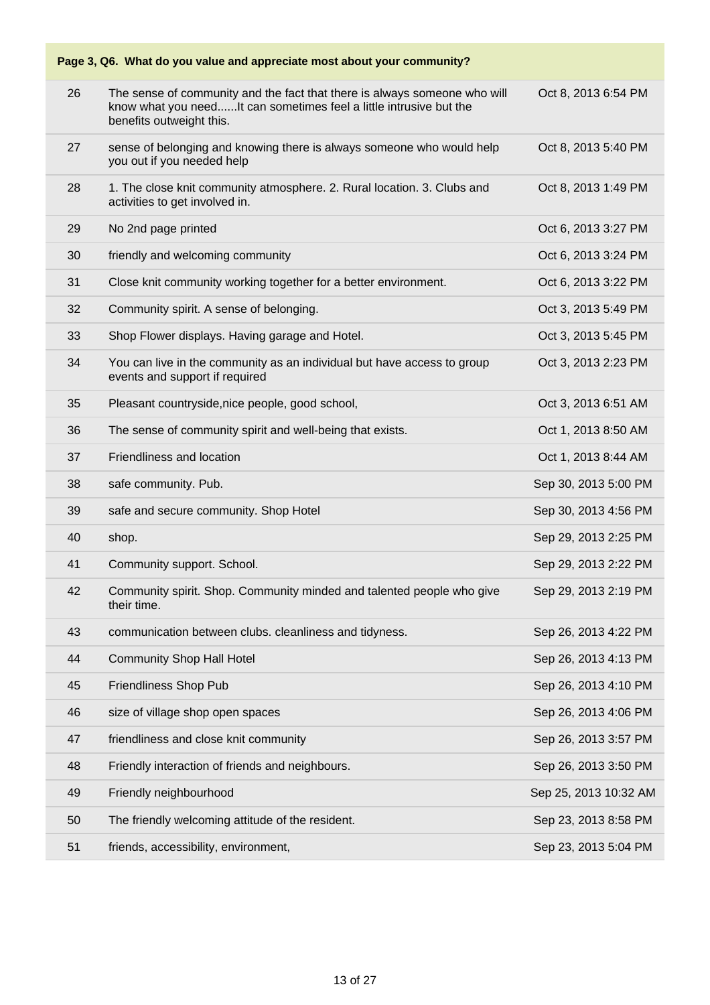### **Page 3, Q6. What do you value and appreciate most about your community?** 26 The sense of community and the fact that there is always someone who will know what you need......It can sometimes feel a little intrusive but the benefits outweight this. Oct 8, 2013 6:54 PM 27 sense of belonging and knowing there is always someone who would help you out if you needed help Oct 8, 2013 5:40 PM 28 1. The close knit community atmosphere. 2. Rural location. 3. Clubs and activities to get involved in. Oct 8, 2013 1:49 PM 29 No 2nd page printed 29 No 2nd page printed 29 No 2nd page 10 No 2nd page 10 No 2nd page 10 No 2nd page 10 No 30 friendly and welcoming community **30** friendly and welcoming community 31 Close knit community working together for a better environment. Oct 6, 2013 3:22 PM 32 Community spirit. A sense of belonging. Community spirit. A sense of belonging. 33 Shop Flower displays. Having garage and Hotel. Contract the Cost 3, 2013 5:45 PM 34 You can live in the community as an individual but have access to group events and support if required Oct 3, 2013 2:23 PM 35 Pleasant countryside,nice people, good school, New York Cost 3, 2013 6:51 AM 36 The sense of community spirit and well-being that exists. Oct 1, 2013 8:50 AM 37 Friendliness and location Oct 1, 2013 8:44 AM 38 safe community. Pub. Sep 30, 2013 5:00 PM 39 safe and secure community. Shop Hotel Sep 30, 2013 4:56 PM 40 shop. Sep 29, 2013 2:25 PM 41 Community support. School. Sep 29, 2013 2:22 PM 42 Community spirit. Shop. Community minded and talented people who give their time. Sep 29, 2013 2:19 PM 43 communication between clubs. cleanliness and tidyness. Sep 26, 2013 4:22 PM And The Community Shop Hall Hotel Sep 26, 2013 4:13 PM 45 Friendliness Shop Pub Sep 26, 2013 4:10 PM 46 size of village shop open spaces Sep 26, 2013 4:06 PM 47 friendliness and close knit community Sep 26, 2013 3:57 PM 48 Friendly interaction of friends and neighbours. Sep 26, 2013 3:50 PM 49 Friendly neighbourhood Sep 25, 2013 10:32 AM 50 The friendly welcoming attitude of the resident. Sep 23, 2013 8:58 PM 51 friends, accessibility, environment, Sep 23, 2013 5:04 PM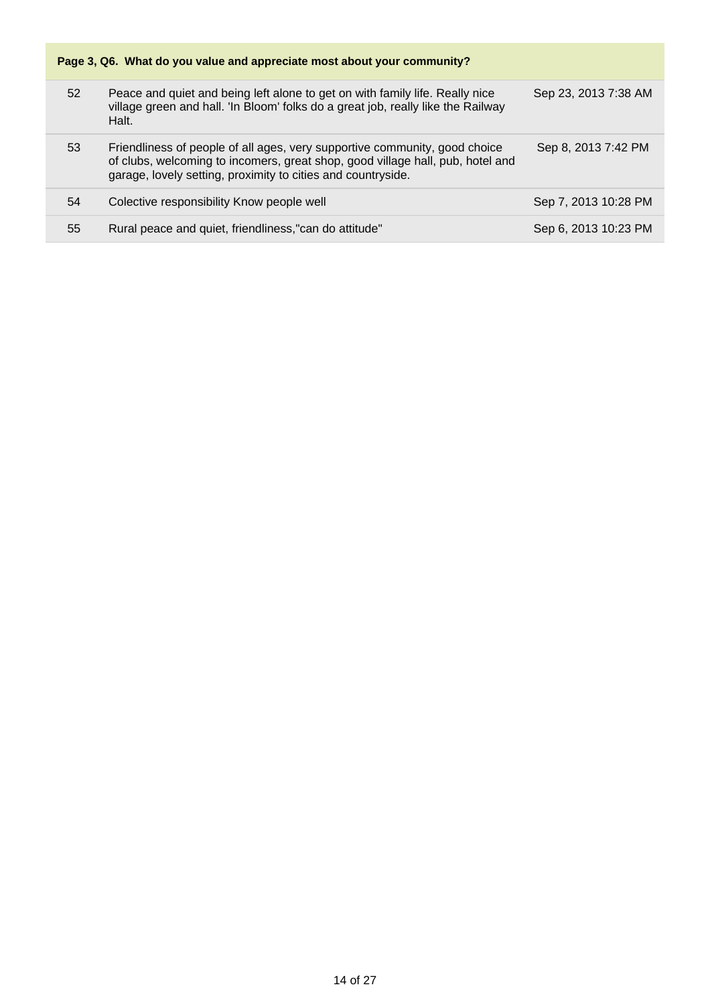| Page 3, Q6. What do you value and appreciate most about your community? |                                                                                                                                                                                                                              |                      |  |
|-------------------------------------------------------------------------|------------------------------------------------------------------------------------------------------------------------------------------------------------------------------------------------------------------------------|----------------------|--|
| 52                                                                      | Peace and quiet and being left alone to get on with family life. Really nice<br>village green and hall. 'In Bloom' folks do a great job, really like the Railway<br>Halt.                                                    | Sep 23, 2013 7:38 AM |  |
| 53                                                                      | Friendliness of people of all ages, very supportive community, good choice<br>of clubs, welcoming to incomers, great shop, good village hall, pub, hotel and<br>garage, lovely setting, proximity to cities and countryside. | Sep 8, 2013 7:42 PM  |  |
| 54                                                                      | Colective responsibility Know people well                                                                                                                                                                                    | Sep 7, 2013 10:28 PM |  |
| 55                                                                      | Rural peace and quiet, friendliness,"can do attitude"                                                                                                                                                                        | Sep 6, 2013 10:23 PM |  |
|                                                                         |                                                                                                                                                                                                                              |                      |  |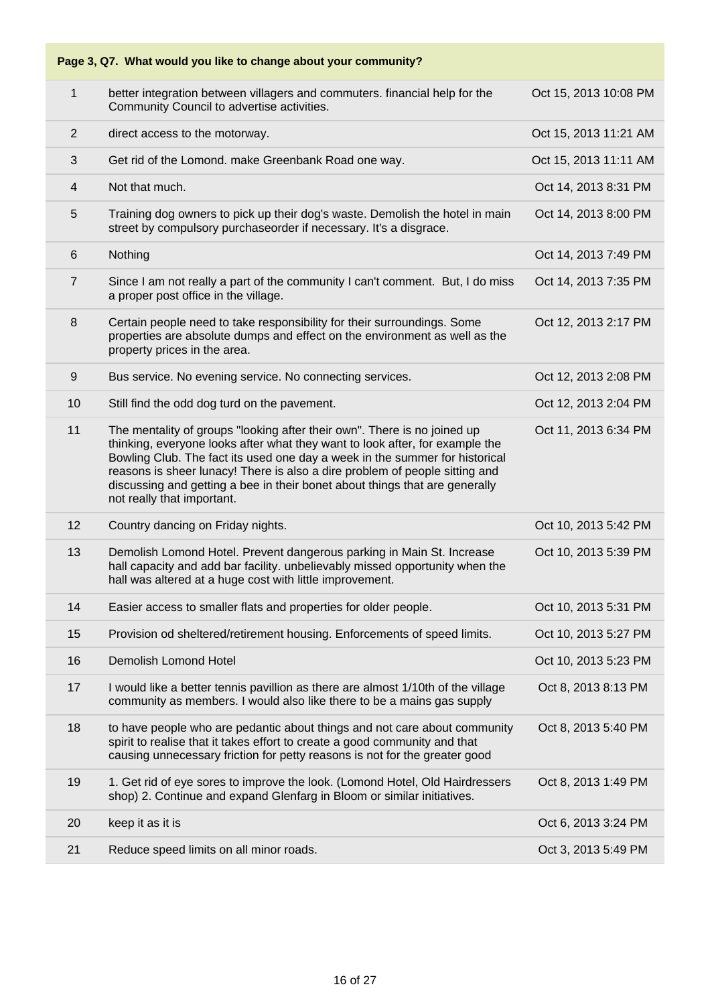#### **Page 3, Q7. What would you like to change about your community?**

| 1              | better integration between villagers and commuters. financial help for the<br>Community Council to advertise activities.                                                                                                                                                                                                                                                                                                            | Oct 15, 2013 10:08 PM |
|----------------|-------------------------------------------------------------------------------------------------------------------------------------------------------------------------------------------------------------------------------------------------------------------------------------------------------------------------------------------------------------------------------------------------------------------------------------|-----------------------|
| $\overline{2}$ | direct access to the motorway.                                                                                                                                                                                                                                                                                                                                                                                                      | Oct 15, 2013 11:21 AM |
| 3              | Get rid of the Lomond. make Greenbank Road one way.                                                                                                                                                                                                                                                                                                                                                                                 | Oct 15, 2013 11:11 AM |
| $\overline{4}$ | Not that much.                                                                                                                                                                                                                                                                                                                                                                                                                      | Oct 14, 2013 8:31 PM  |
| 5              | Training dog owners to pick up their dog's waste. Demolish the hotel in main<br>street by compulsory purchaseorder if necessary. It's a disgrace.                                                                                                                                                                                                                                                                                   | Oct 14, 2013 8:00 PM  |
| 6              | Nothing                                                                                                                                                                                                                                                                                                                                                                                                                             | Oct 14, 2013 7:49 PM  |
| $\overline{7}$ | Since I am not really a part of the community I can't comment. But, I do miss<br>a proper post office in the village.                                                                                                                                                                                                                                                                                                               | Oct 14, 2013 7:35 PM  |
| 8              | Certain people need to take responsibility for their surroundings. Some<br>properties are absolute dumps and effect on the environment as well as the<br>property prices in the area.                                                                                                                                                                                                                                               | Oct 12, 2013 2:17 PM  |
| 9              | Bus service. No evening service. No connecting services.                                                                                                                                                                                                                                                                                                                                                                            | Oct 12, 2013 2:08 PM  |
| 10             | Still find the odd dog turd on the pavement.                                                                                                                                                                                                                                                                                                                                                                                        | Oct 12, 2013 2:04 PM  |
| 11             | The mentality of groups "looking after their own". There is no joined up<br>thinking, everyone looks after what they want to look after, for example the<br>Bowling Club. The fact its used one day a week in the summer for historical<br>reasons is sheer lunacy! There is also a dire problem of people sitting and<br>discussing and getting a bee in their bonet about things that are generally<br>not really that important. | Oct 11, 2013 6:34 PM  |
| 12             | Country dancing on Friday nights.                                                                                                                                                                                                                                                                                                                                                                                                   | Oct 10, 2013 5:42 PM  |
| 13             | Demolish Lomond Hotel. Prevent dangerous parking in Main St. Increase<br>hall capacity and add bar facility. unbelievably missed opportunity when the<br>hall was altered at a huge cost with little improvement.                                                                                                                                                                                                                   | Oct 10, 2013 5:39 PM  |
| 14             | Easier access to smaller flats and properties for older people.                                                                                                                                                                                                                                                                                                                                                                     | Oct 10, 2013 5:31 PM  |
| 15             | Provision od sheltered/retirement housing. Enforcements of speed limits.                                                                                                                                                                                                                                                                                                                                                            | Oct 10, 2013 5:27 PM  |
| 16             | Demolish Lomond Hotel                                                                                                                                                                                                                                                                                                                                                                                                               | Oct 10, 2013 5:23 PM  |
| 17             | I would like a better tennis pavillion as there are almost 1/10th of the village<br>community as members. I would also like there to be a mains gas supply                                                                                                                                                                                                                                                                          | Oct 8, 2013 8:13 PM   |
| 18             | to have people who are pedantic about things and not care about community<br>spirit to realise that it takes effort to create a good community and that<br>causing unnecessary friction for petty reasons is not for the greater good                                                                                                                                                                                               | Oct 8, 2013 5:40 PM   |
| 19             | 1. Get rid of eye sores to improve the look. (Lomond Hotel, Old Hairdressers<br>shop) 2. Continue and expand Glenfarg in Bloom or similar initiatives.                                                                                                                                                                                                                                                                              | Oct 8, 2013 1:49 PM   |
| 20             | keep it as it is                                                                                                                                                                                                                                                                                                                                                                                                                    | Oct 6, 2013 3:24 PM   |
| 21             | Reduce speed limits on all minor roads.                                                                                                                                                                                                                                                                                                                                                                                             | Oct 3, 2013 5:49 PM   |
|                |                                                                                                                                                                                                                                                                                                                                                                                                                                     |                       |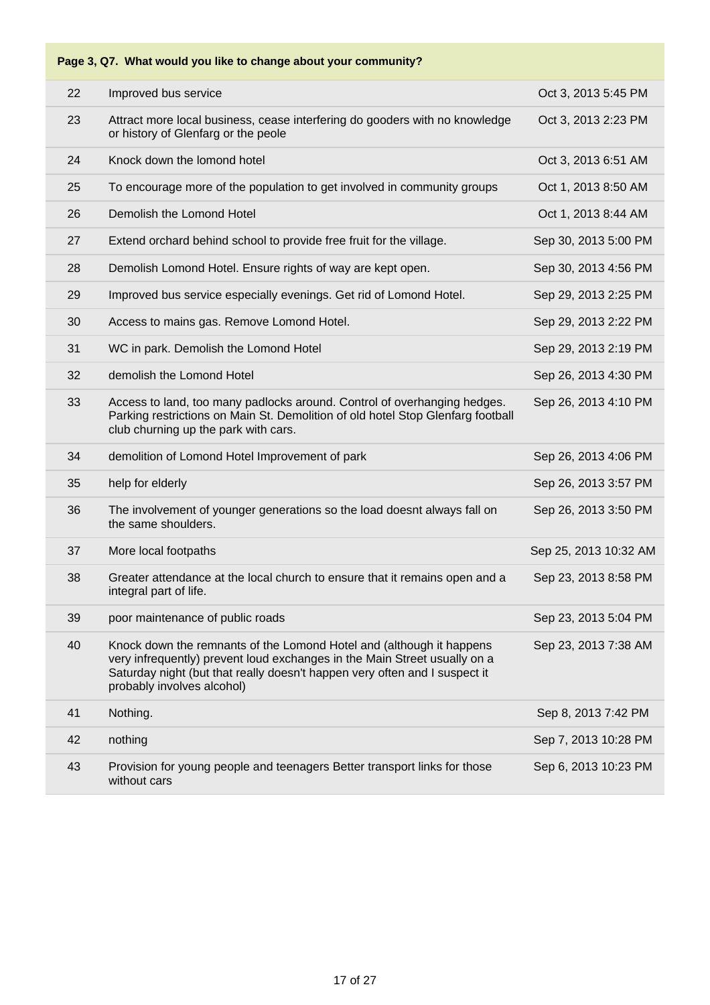| Page 3, Q7. What would you like to change about your community? |                                                                                                                                                                                                                                                               |                       |  |
|-----------------------------------------------------------------|---------------------------------------------------------------------------------------------------------------------------------------------------------------------------------------------------------------------------------------------------------------|-----------------------|--|
| 22                                                              | Improved bus service                                                                                                                                                                                                                                          | Oct 3, 2013 5:45 PM   |  |
| 23                                                              | Attract more local business, cease interfering do gooders with no knowledge<br>or history of Glenfarg or the peole                                                                                                                                            | Oct 3, 2013 2:23 PM   |  |
| 24                                                              | Knock down the lomond hotel                                                                                                                                                                                                                                   | Oct 3, 2013 6:51 AM   |  |
| 25                                                              | To encourage more of the population to get involved in community groups                                                                                                                                                                                       | Oct 1, 2013 8:50 AM   |  |
| 26                                                              | Demolish the Lomond Hotel                                                                                                                                                                                                                                     | Oct 1, 2013 8:44 AM   |  |
| 27                                                              | Extend orchard behind school to provide free fruit for the village.                                                                                                                                                                                           | Sep 30, 2013 5:00 PM  |  |
| 28                                                              | Demolish Lomond Hotel. Ensure rights of way are kept open.                                                                                                                                                                                                    | Sep 30, 2013 4:56 PM  |  |
| 29                                                              | Improved bus service especially evenings. Get rid of Lomond Hotel.                                                                                                                                                                                            | Sep 29, 2013 2:25 PM  |  |
| 30                                                              | Access to mains gas. Remove Lomond Hotel.                                                                                                                                                                                                                     | Sep 29, 2013 2:22 PM  |  |
| 31                                                              | WC in park. Demolish the Lomond Hotel                                                                                                                                                                                                                         | Sep 29, 2013 2:19 PM  |  |
| 32                                                              | demolish the Lomond Hotel                                                                                                                                                                                                                                     | Sep 26, 2013 4:30 PM  |  |
| 33                                                              | Access to land, too many padlocks around. Control of overhanging hedges.<br>Parking restrictions on Main St. Demolition of old hotel Stop Glenfarg football<br>club churning up the park with cars.                                                           | Sep 26, 2013 4:10 PM  |  |
| 34                                                              | demolition of Lomond Hotel Improvement of park                                                                                                                                                                                                                | Sep 26, 2013 4:06 PM  |  |
| 35                                                              | help for elderly                                                                                                                                                                                                                                              | Sep 26, 2013 3:57 PM  |  |
| 36                                                              | The involvement of younger generations so the load doesnt always fall on<br>the same shoulders.                                                                                                                                                               | Sep 26, 2013 3:50 PM  |  |
| 37                                                              | More local footpaths                                                                                                                                                                                                                                          | Sep 25, 2013 10:32 AM |  |
| 38                                                              | Greater attendance at the local church to ensure that it remains open and a<br>integral part of life.                                                                                                                                                         | Sep 23, 2013 8:58 PM  |  |
| 39                                                              | poor maintenance of public roads                                                                                                                                                                                                                              | Sep 23, 2013 5:04 PM  |  |
| 40                                                              | Knock down the remnants of the Lomond Hotel and (although it happens<br>very infrequently) prevent loud exchanges in the Main Street usually on a<br>Saturday night (but that really doesn't happen very often and I suspect it<br>probably involves alcohol) | Sep 23, 2013 7:38 AM  |  |
| 41                                                              | Nothing.                                                                                                                                                                                                                                                      | Sep 8, 2013 7:42 PM   |  |
| 42                                                              | nothing                                                                                                                                                                                                                                                       | Sep 7, 2013 10:28 PM  |  |
| 43                                                              | Provision for young people and teenagers Better transport links for those<br>without cars                                                                                                                                                                     | Sep 6, 2013 10:23 PM  |  |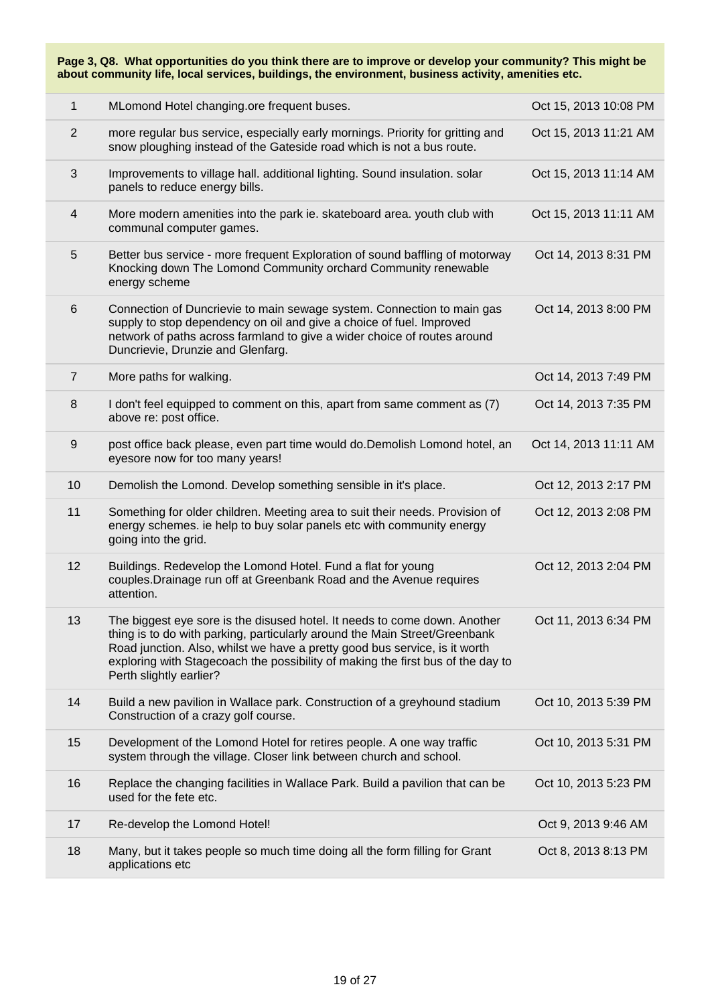**Page 3, Q8. What opportunities do you think there are to improve or develop your community? This might be about community life, local services, buildings, the environment, business activity, amenities etc.**

| 1              | MLomond Hotel changing.ore frequent buses.                                                                                                                                                                                                                                                                                                          | Oct 15, 2013 10:08 PM |
|----------------|-----------------------------------------------------------------------------------------------------------------------------------------------------------------------------------------------------------------------------------------------------------------------------------------------------------------------------------------------------|-----------------------|
| $\overline{2}$ | more regular bus service, especially early mornings. Priority for gritting and<br>snow ploughing instead of the Gateside road which is not a bus route.                                                                                                                                                                                             | Oct 15, 2013 11:21 AM |
| 3              | Improvements to village hall. additional lighting. Sound insulation. solar<br>panels to reduce energy bills.                                                                                                                                                                                                                                        | Oct 15, 2013 11:14 AM |
| 4              | More modern amenities into the park ie. skateboard area. youth club with<br>communal computer games.                                                                                                                                                                                                                                                | Oct 15, 2013 11:11 AM |
| 5              | Better bus service - more frequent Exploration of sound baffling of motorway<br>Knocking down The Lomond Community orchard Community renewable<br>energy scheme                                                                                                                                                                                     | Oct 14, 2013 8:31 PM  |
| 6              | Connection of Duncrievie to main sewage system. Connection to main gas<br>supply to stop dependency on oil and give a choice of fuel. Improved<br>network of paths across farmland to give a wider choice of routes around<br>Duncrievie, Drunzie and Glenfarg.                                                                                     | Oct 14, 2013 8:00 PM  |
| $\overline{7}$ | More paths for walking.                                                                                                                                                                                                                                                                                                                             | Oct 14, 2013 7:49 PM  |
| 8              | I don't feel equipped to comment on this, apart from same comment as (7)<br>above re: post office.                                                                                                                                                                                                                                                  | Oct 14, 2013 7:35 PM  |
| $9\,$          | post office back please, even part time would do. Demolish Lomond hotel, an<br>eyesore now for too many years!                                                                                                                                                                                                                                      | Oct 14, 2013 11:11 AM |
| 10             | Demolish the Lomond. Develop something sensible in it's place.                                                                                                                                                                                                                                                                                      | Oct 12, 2013 2:17 PM  |
| 11             | Something for older children. Meeting area to suit their needs. Provision of<br>energy schemes. ie help to buy solar panels etc with community energy<br>going into the grid.                                                                                                                                                                       | Oct 12, 2013 2:08 PM  |
| 12             | Buildings. Redevelop the Lomond Hotel. Fund a flat for young<br>couples. Drainage run off at Greenbank Road and the Avenue requires<br>attention.                                                                                                                                                                                                   | Oct 12, 2013 2:04 PM  |
| 13             | The biggest eye sore is the disused hotel. It needs to come down. Another<br>thing is to do with parking, particularly around the Main Street/Greenbank<br>Road junction. Also, whilst we have a pretty good bus service, is it worth<br>exploring with Stagecoach the possibility of making the first bus of the day to<br>Perth slightly earlier? | Oct 11, 2013 6:34 PM  |
| 14             | Build a new pavilion in Wallace park. Construction of a greyhound stadium<br>Construction of a crazy golf course.                                                                                                                                                                                                                                   | Oct 10, 2013 5:39 PM  |
| 15             | Development of the Lomond Hotel for retires people. A one way traffic<br>system through the village. Closer link between church and school.                                                                                                                                                                                                         | Oct 10, 2013 5:31 PM  |
| 16             | Replace the changing facilities in Wallace Park. Build a pavilion that can be<br>used for the fete etc.                                                                                                                                                                                                                                             | Oct 10, 2013 5:23 PM  |
| 17             | Re-develop the Lomond Hotel!                                                                                                                                                                                                                                                                                                                        | Oct 9, 2013 9:46 AM   |
| 18             | Many, but it takes people so much time doing all the form filling for Grant<br>applications etc                                                                                                                                                                                                                                                     | Oct 8, 2013 8:13 PM   |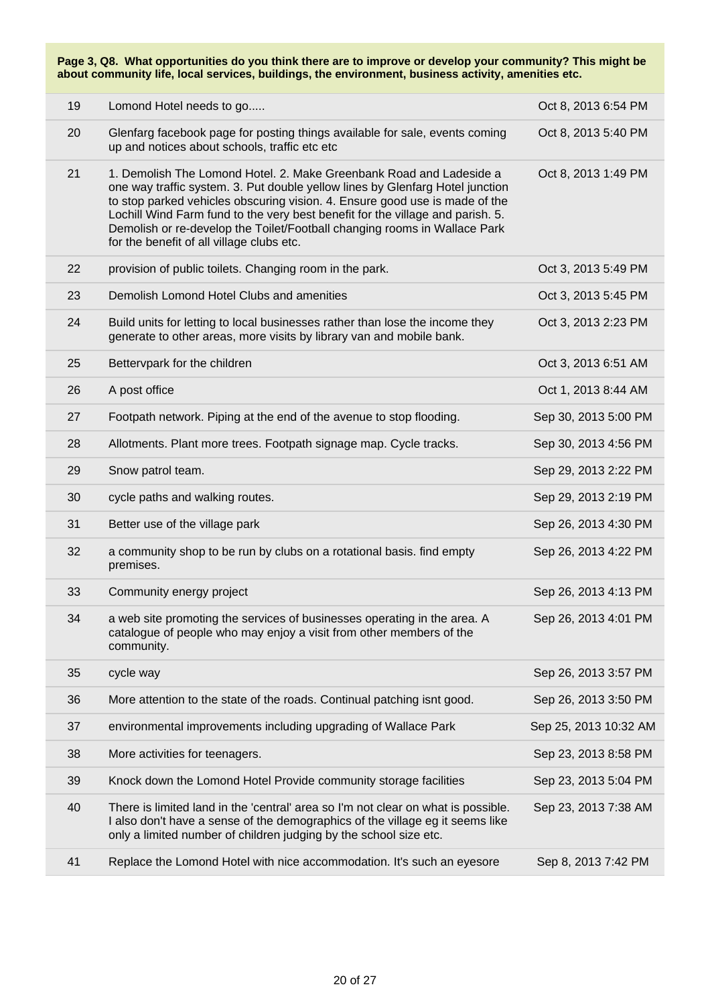**Page 3, Q8. What opportunities do you think there are to improve or develop your community? This might be about community life, local services, buildings, the environment, business activity, amenities etc.**

| 19 | Lomond Hotel needs to go                                                                                                                                                                                                                                                                                                                                                                                                                        | Oct 8, 2013 6:54 PM   |
|----|-------------------------------------------------------------------------------------------------------------------------------------------------------------------------------------------------------------------------------------------------------------------------------------------------------------------------------------------------------------------------------------------------------------------------------------------------|-----------------------|
| 20 | Glenfarg facebook page for posting things available for sale, events coming<br>up and notices about schools, traffic etc etc                                                                                                                                                                                                                                                                                                                    | Oct 8, 2013 5:40 PM   |
| 21 | 1. Demolish The Lomond Hotel. 2. Make Greenbank Road and Ladeside a<br>one way traffic system. 3. Put double yellow lines by Glenfarg Hotel junction<br>to stop parked vehicles obscuring vision. 4. Ensure good use is made of the<br>Lochill Wind Farm fund to the very best benefit for the village and parish. 5.<br>Demolish or re-develop the Toilet/Football changing rooms in Wallace Park<br>for the benefit of all village clubs etc. | Oct 8, 2013 1:49 PM   |
| 22 | provision of public toilets. Changing room in the park.                                                                                                                                                                                                                                                                                                                                                                                         | Oct 3, 2013 5:49 PM   |
| 23 | Demolish Lomond Hotel Clubs and amenities                                                                                                                                                                                                                                                                                                                                                                                                       | Oct 3, 2013 5:45 PM   |
| 24 | Build units for letting to local businesses rather than lose the income they<br>generate to other areas, more visits by library van and mobile bank.                                                                                                                                                                                                                                                                                            | Oct 3, 2013 2:23 PM   |
| 25 | Bettervpark for the children                                                                                                                                                                                                                                                                                                                                                                                                                    | Oct 3, 2013 6:51 AM   |
| 26 | A post office                                                                                                                                                                                                                                                                                                                                                                                                                                   | Oct 1, 2013 8:44 AM   |
| 27 | Footpath network. Piping at the end of the avenue to stop flooding.                                                                                                                                                                                                                                                                                                                                                                             | Sep 30, 2013 5:00 PM  |
| 28 | Allotments. Plant more trees. Footpath signage map. Cycle tracks.                                                                                                                                                                                                                                                                                                                                                                               | Sep 30, 2013 4:56 PM  |
| 29 | Snow patrol team.                                                                                                                                                                                                                                                                                                                                                                                                                               | Sep 29, 2013 2:22 PM  |
| 30 | cycle paths and walking routes.                                                                                                                                                                                                                                                                                                                                                                                                                 | Sep 29, 2013 2:19 PM  |
| 31 | Better use of the village park                                                                                                                                                                                                                                                                                                                                                                                                                  | Sep 26, 2013 4:30 PM  |
| 32 | a community shop to be run by clubs on a rotational basis. find empty<br>premises.                                                                                                                                                                                                                                                                                                                                                              | Sep 26, 2013 4:22 PM  |
| 33 | Community energy project                                                                                                                                                                                                                                                                                                                                                                                                                        | Sep 26, 2013 4:13 PM  |
| 34 | a web site promoting the services of businesses operating in the area. A<br>catalogue of people who may enjoy a visit from other members of the<br>community.                                                                                                                                                                                                                                                                                   | Sep 26, 2013 4:01 PM  |
| 35 | cycle way                                                                                                                                                                                                                                                                                                                                                                                                                                       | Sep 26, 2013 3:57 PM  |
| 36 | More attention to the state of the roads. Continual patching isnt good.                                                                                                                                                                                                                                                                                                                                                                         | Sep 26, 2013 3:50 PM  |
| 37 | environmental improvements including upgrading of Wallace Park                                                                                                                                                                                                                                                                                                                                                                                  | Sep 25, 2013 10:32 AM |
| 38 | More activities for teenagers.                                                                                                                                                                                                                                                                                                                                                                                                                  | Sep 23, 2013 8:58 PM  |
| 39 | Knock down the Lomond Hotel Provide community storage facilities                                                                                                                                                                                                                                                                                                                                                                                | Sep 23, 2013 5:04 PM  |
| 40 | There is limited land in the 'central' area so I'm not clear on what is possible.<br>I also don't have a sense of the demographics of the village eg it seems like<br>only a limited number of children judging by the school size etc.                                                                                                                                                                                                         | Sep 23, 2013 7:38 AM  |
| 41 | Replace the Lomond Hotel with nice accommodation. It's such an eyesore                                                                                                                                                                                                                                                                                                                                                                          | Sep 8, 2013 7:42 PM   |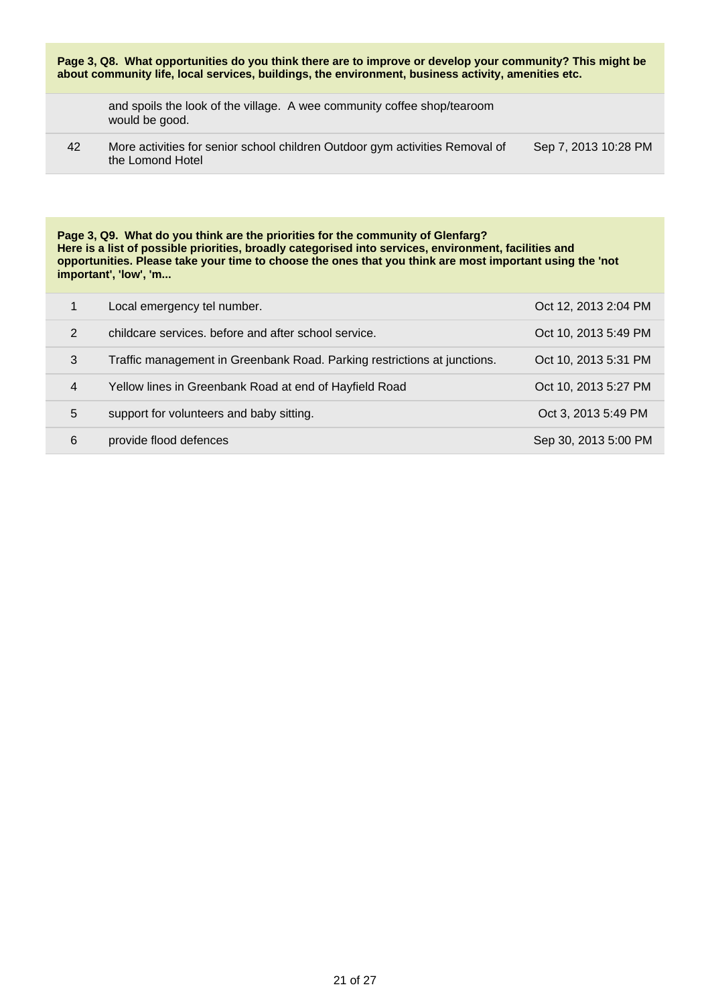| Page 3, Q8. What opportunities do you think there are to improve or develop your community? This might be<br>about community life, local services, buildings, the environment, business activity, amenities etc. |                                                                                                  |                      |
|------------------------------------------------------------------------------------------------------------------------------------------------------------------------------------------------------------------|--------------------------------------------------------------------------------------------------|----------------------|
|                                                                                                                                                                                                                  | and spoils the look of the village. A wee community coffee shop/tearoom<br>would be good.        |                      |
| 42                                                                                                                                                                                                               | More activities for senior school children Outdoor gym activities Removal of<br>the Lomond Hotel | Sep 7, 2013 10:28 PM |
|                                                                                                                                                                                                                  |                                                                                                  |                      |

**Page 3, Q9. What do you think are the priorities for the community of Glenfarg? Here is a list of possible priorities, broadly categorised into services, environment, facilities and opportunities. Please take your time to choose the ones that you think are most important using the 'not important', 'low', 'm...**

|                | Local emergency tel number.                                              | Oct 12, 2013 2:04 PM |
|----------------|--------------------------------------------------------------------------|----------------------|
| 2              | childcare services, before and after school service.                     | Oct 10, 2013 5:49 PM |
| 3              | Traffic management in Greenbank Road. Parking restrictions at junctions. | Oct 10, 2013 5:31 PM |
| $\overline{4}$ | Yellow lines in Greenbank Road at end of Hayfield Road                   | Oct 10, 2013 5:27 PM |
| 5              | support for volunteers and baby sitting.                                 | Oct 3, 2013 5:49 PM  |
| 6              | provide flood defences                                                   | Sep 30, 2013 5:00 PM |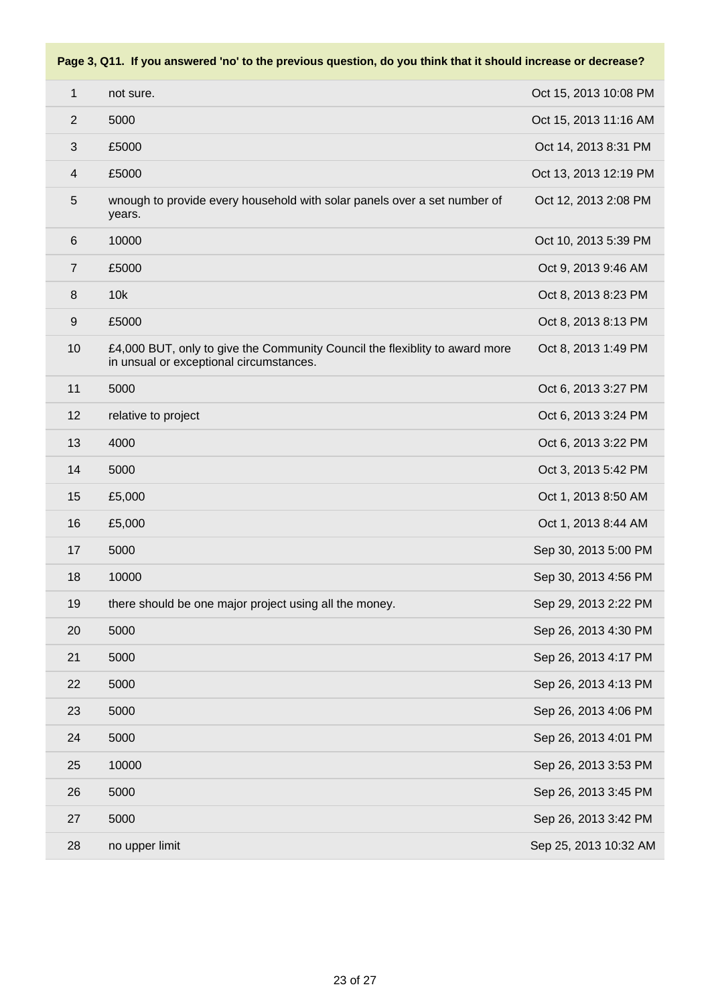# not sure. Oct 15, 2013 10:08 PM 5000 Oct 15, 2013 11:16 AM £5000 Oct 14, 2013 8:31 PM £5000 Oct 13, 2013 12:19 PM wnough to provide every household with solar panels over a set number of years. Oct 12, 2013 2:08 PM 10000 Oct 10, 2013 5:39 PM £5000 Oct 9, 2013 9:46 AM 10k Oct 8, 2013 8:23 PM £5000 Oct 8, 2013 8:13 PM £4,000 BUT, only to give the Community Council the flexiblity to award more in unsual or exceptional circumstances. Oct 8, 2013 1:49 PM 5000 Oct 6, 2013 3:27 PM 12 relative to project **Contract Contract Oct 6, 2013 3:24 PM**  4000 Oct 6, 2013 3:22 PM 5000 Oct 3, 2013 5:42 PM £5,000 Oct 1, 2013 8:50 AM £5,000 Oct 1, 2013 8:44 AM 5000 Sep 30, 2013 5:00 PM 10000 Sep 30, 2013 4:56 PM 19 there should be one major project using all the money. Sep 29, 2013 2:22 PM 5000 Sep 26, 2013 4:30 PM 5000 Sep 26, 2013 4:17 PM 5000 Sep 26, 2013 4:13 PM 5000 Sep 26, 2013 4:06 PM 5000 Sep 26, 2013 4:01 PM 10000 Sep 26, 2013 3:53 PM 5000 Sep 26, 2013 3:45 PM 5000 Sep 26, 2013 3:42 PM

#### **Page 3, Q11. If you answered 'no' to the previous question, do you think that it should increase or decrease?**

28 no upper limit Sep 25, 2013 10:32 AM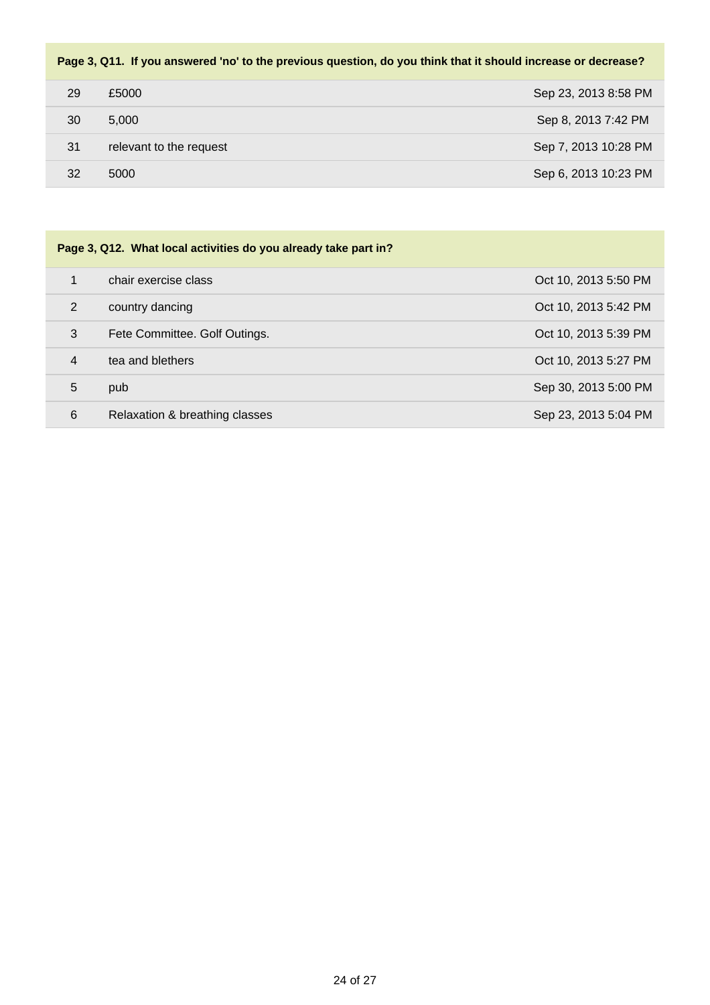#### **Page 3, Q11. If you answered 'no' to the previous question, do you think that it should increase or decrease?**

| 29 | £5000                   | Sep 23, 2013 8:58 PM |
|----|-------------------------|----------------------|
| 30 | 5,000                   | Sep 8, 2013 7:42 PM  |
| 31 | relevant to the request | Sep 7, 2013 10:28 PM |
| 32 | 5000                    | Sep 6, 2013 10:23 PM |

| Page 3, Q12. What local activities do you already take part in? |                                |                      |  |
|-----------------------------------------------------------------|--------------------------------|----------------------|--|
| 1                                                               | chair exercise class           | Oct 10, 2013 5:50 PM |  |
| 2                                                               | country dancing                | Oct 10, 2013 5:42 PM |  |
| 3                                                               | Fete Committee. Golf Outings.  | Oct 10, 2013 5:39 PM |  |
| 4                                                               | tea and blethers               | Oct 10, 2013 5:27 PM |  |
| 5                                                               | pub                            | Sep 30, 2013 5:00 PM |  |
| 6                                                               | Relaxation & breathing classes | Sep 23, 2013 5:04 PM |  |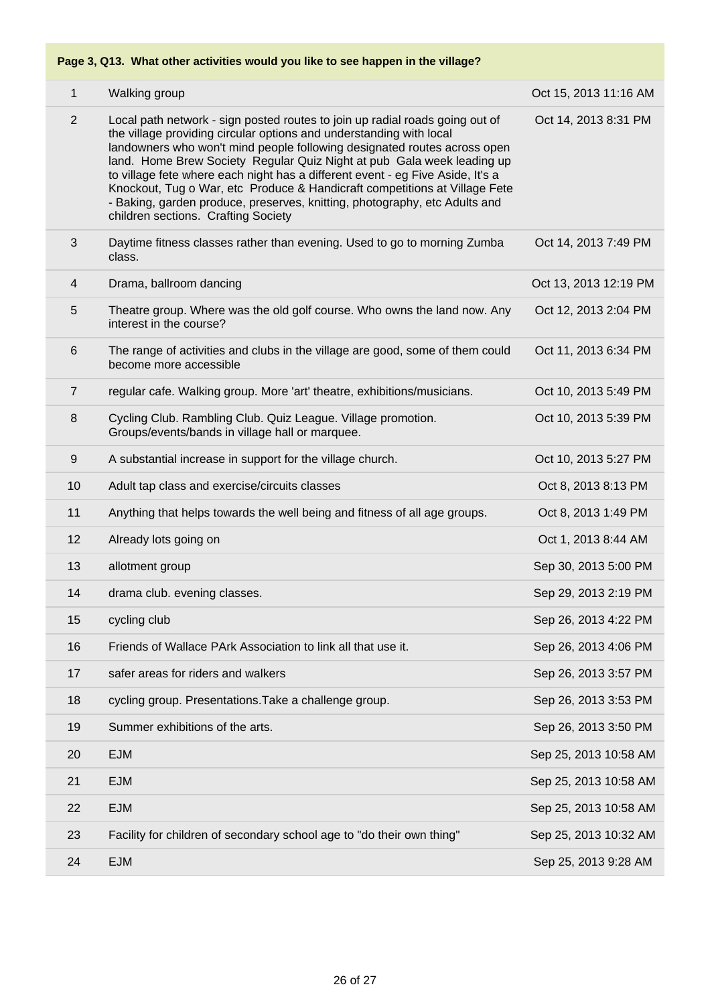### **Page 3, Q13. What other activities would you like to see happen in the village?**

| $\mathbf{1}$   | Walking group                                                                                                                                                                                                                                                                                                                                                                                                                                                                                                                                                                                  | Oct 15, 2013 11:16 AM |
|----------------|------------------------------------------------------------------------------------------------------------------------------------------------------------------------------------------------------------------------------------------------------------------------------------------------------------------------------------------------------------------------------------------------------------------------------------------------------------------------------------------------------------------------------------------------------------------------------------------------|-----------------------|
| $\overline{2}$ | Local path network - sign posted routes to join up radial roads going out of<br>the village providing circular options and understanding with local<br>landowners who won't mind people following designated routes across open<br>land. Home Brew Society Regular Quiz Night at pub Gala week leading up<br>to village fete where each night has a different event - eg Five Aside, It's a<br>Knockout, Tug o War, etc Produce & Handicraft competitions at Village Fete<br>- Baking, garden produce, preserves, knitting, photography, etc Adults and<br>children sections. Crafting Society | Oct 14, 2013 8:31 PM  |
| 3              | Daytime fitness classes rather than evening. Used to go to morning Zumba<br>class.                                                                                                                                                                                                                                                                                                                                                                                                                                                                                                             | Oct 14, 2013 7:49 PM  |
| 4              | Drama, ballroom dancing                                                                                                                                                                                                                                                                                                                                                                                                                                                                                                                                                                        | Oct 13, 2013 12:19 PM |
| 5              | Theatre group. Where was the old golf course. Who owns the land now. Any<br>interest in the course?                                                                                                                                                                                                                                                                                                                                                                                                                                                                                            | Oct 12, 2013 2:04 PM  |
| $6\,$          | The range of activities and clubs in the village are good, some of them could<br>become more accessible                                                                                                                                                                                                                                                                                                                                                                                                                                                                                        | Oct 11, 2013 6:34 PM  |
| $\overline{7}$ | regular cafe. Walking group. More 'art' theatre, exhibitions/musicians.                                                                                                                                                                                                                                                                                                                                                                                                                                                                                                                        | Oct 10, 2013 5:49 PM  |
| 8              | Cycling Club. Rambling Club. Quiz League. Village promotion.<br>Groups/events/bands in village hall or marquee.                                                                                                                                                                                                                                                                                                                                                                                                                                                                                | Oct 10, 2013 5:39 PM  |
| 9              | A substantial increase in support for the village church.                                                                                                                                                                                                                                                                                                                                                                                                                                                                                                                                      | Oct 10, 2013 5:27 PM  |
| 10             | Adult tap class and exercise/circuits classes                                                                                                                                                                                                                                                                                                                                                                                                                                                                                                                                                  | Oct 8, 2013 8:13 PM   |
| 11             | Anything that helps towards the well being and fitness of all age groups.                                                                                                                                                                                                                                                                                                                                                                                                                                                                                                                      | Oct 8, 2013 1:49 PM   |
| 12             | Already lots going on                                                                                                                                                                                                                                                                                                                                                                                                                                                                                                                                                                          | Oct 1, 2013 8:44 AM   |
| 13             | allotment group                                                                                                                                                                                                                                                                                                                                                                                                                                                                                                                                                                                | Sep 30, 2013 5:00 PM  |
| 14             | drama club. evening classes.                                                                                                                                                                                                                                                                                                                                                                                                                                                                                                                                                                   | Sep 29, 2013 2:19 PM  |
| 15             | cycling club                                                                                                                                                                                                                                                                                                                                                                                                                                                                                                                                                                                   | Sep 26, 2013 4:22 PM  |
| 16             | Friends of Wallace PArk Association to link all that use it.                                                                                                                                                                                                                                                                                                                                                                                                                                                                                                                                   | Sep 26, 2013 4:06 PM  |
| 17             | safer areas for riders and walkers                                                                                                                                                                                                                                                                                                                                                                                                                                                                                                                                                             | Sep 26, 2013 3:57 PM  |
| 18             | cycling group. Presentations. Take a challenge group.                                                                                                                                                                                                                                                                                                                                                                                                                                                                                                                                          | Sep 26, 2013 3:53 PM  |
| 19             | Summer exhibitions of the arts.                                                                                                                                                                                                                                                                                                                                                                                                                                                                                                                                                                | Sep 26, 2013 3:50 PM  |
| 20             | <b>EJM</b>                                                                                                                                                                                                                                                                                                                                                                                                                                                                                                                                                                                     | Sep 25, 2013 10:58 AM |
| 21             | <b>EJM</b>                                                                                                                                                                                                                                                                                                                                                                                                                                                                                                                                                                                     | Sep 25, 2013 10:58 AM |
| 22             | <b>EJM</b>                                                                                                                                                                                                                                                                                                                                                                                                                                                                                                                                                                                     | Sep 25, 2013 10:58 AM |
| 23             | Facility for children of secondary school age to "do their own thing"                                                                                                                                                                                                                                                                                                                                                                                                                                                                                                                          | Sep 25, 2013 10:32 AM |
| 24             | <b>EJM</b>                                                                                                                                                                                                                                                                                                                                                                                                                                                                                                                                                                                     | Sep 25, 2013 9:28 AM  |